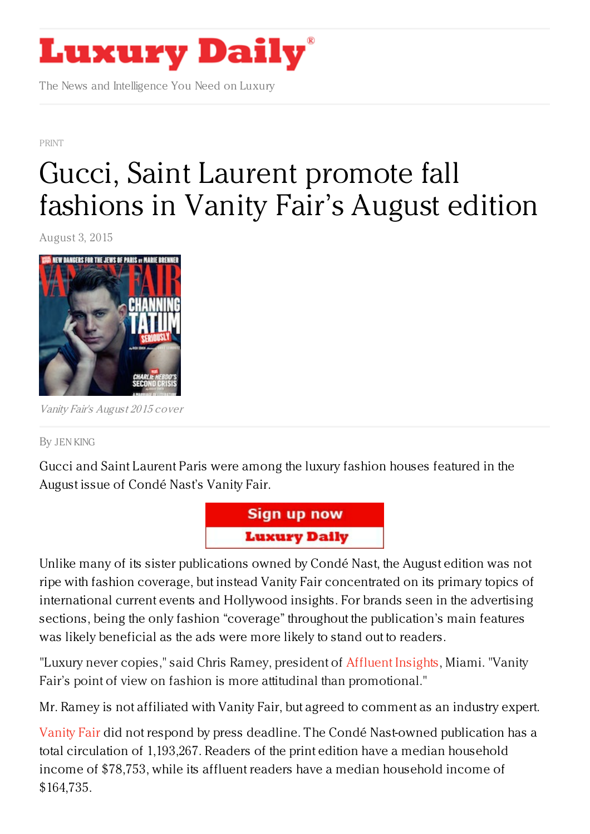

The News and Intelligence You Need on Luxury

[PRINT](https://www.luxurydaily.com/category/news/print/)

## Gucci, Saint Laurent [promote](https://www.luxurydaily.com/gucci-saint-laurent-promote-fall-fashions-in-vanity-fairs-august-edition/) fall fashions in Vanity Fair's August edition

August 3, 2015



Vanity Fair's August 2015 cover

By JEN [KING](/author/jen-king)

Gucci and Saint Laurent Paris were among the luxury fashion houses featured in the August issue of Condé Nast's Vanity Fair.



Unlike many of its sister publications owned by Condé Nast, the August edition was not ripe with fashion coverage, but instead Vanity Fair concentrated on its primary topics of international current events and Hollywood insights. For brands seen in the advertising sections, being the only fashion "coverage" throughout the publication's main features was likely beneficial as the ads were more likely to stand out to readers.

"Luxury never copies," said Chris Ramey, president of [Affluent](http://www.affluentinsights.com) Insights, Miami. "Vanity Fair's point of view on fashion is more attitudinal than promotional."

Mr. Ramey is not affiliated with Vanity Fair, but agreed to comment as an industry expert.

[Vanity](http://www.vanityfair.com) Fair did not respond by press deadline. The Condé Nast-owned publication has a total circulation of 1,193,267. Readers of the print edition have a median household income of \$78,753, while its affluent readers have a median household income of \$164,735.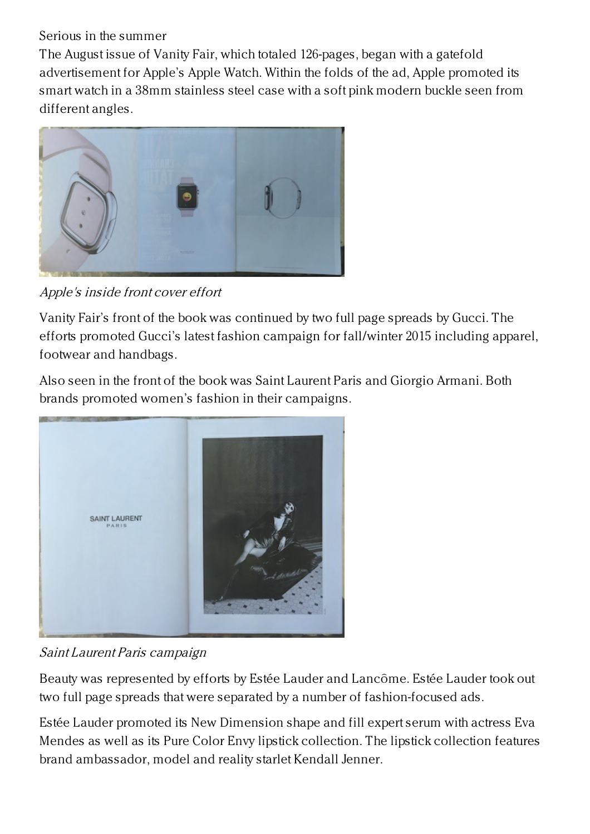Serious in the summer

The August issue of Vanity Fair, which totaled 126-pages, began with a gatefold advertisement for Apple's Apple Watch. Within the folds of the ad, Apple promoted its smart watch in a 38mm stainless steel case with a soft pink modern buckle seen from different angles.



Apple's inside front cover effort

Vanity Fair's front of the book was continued by two full page spreads by Gucci. The efforts promoted Gucci's latest fashion campaign for fall/winter 2015 including apparel, footwear and handbags.

Also seen in the front of the book was Saint Laurent Paris and Giorgio Armani. Both brands promoted women's fashion in their campaigns.



Saint Laurent Paris campaign

Beauty was represented by efforts by Estée Lauder and Lancôme. Estée Lauder took out two full page spreads that were separated by a number of fashion-focused ads.

Estée Lauder promoted its New Dimension shape and fill expert serum with actress Eva Mendes as well as its Pure Color Envy lipstick collection. The lipstick collection features brand ambassador, model and reality starlet Kendall Jenner.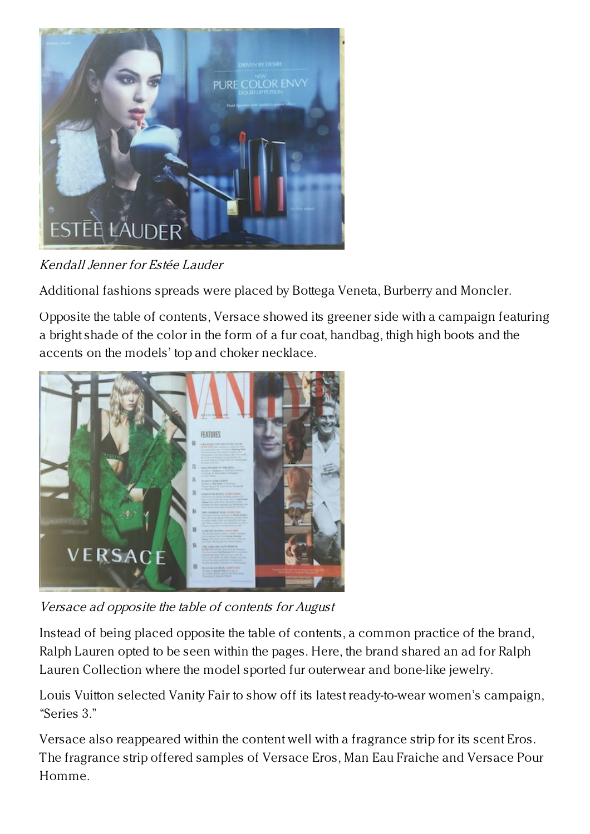

Kendall Jenner for Estée Lauder

Additional fashions spreads were placed by Bottega Veneta, Burberry and Moncler.

Opposite the table of contents, Versace showed its greener side with a campaign featuring a bright shade of the color in the form of a fur coat, handbag, thigh high boots and the accents on the models' top and choker necklace.



Versace ad opposite the table of contents for August

Instead of being placed opposite the table of contents, a common practice of the brand, Ralph Lauren opted to be seen within the pages. Here, the brand shared an ad for Ralph Lauren Collection where the model sported fur outerwear and bone-like jewelry.

Louis Vuitton selected Vanity Fair to show off its latest ready-to-wear women's campaign, "Series 3."

Versace also reappeared within the content well with a fragrance strip for its scent Eros. The fragrance strip offered samples of Versace Eros, Man Eau Fraiche and Versace Pour Homme.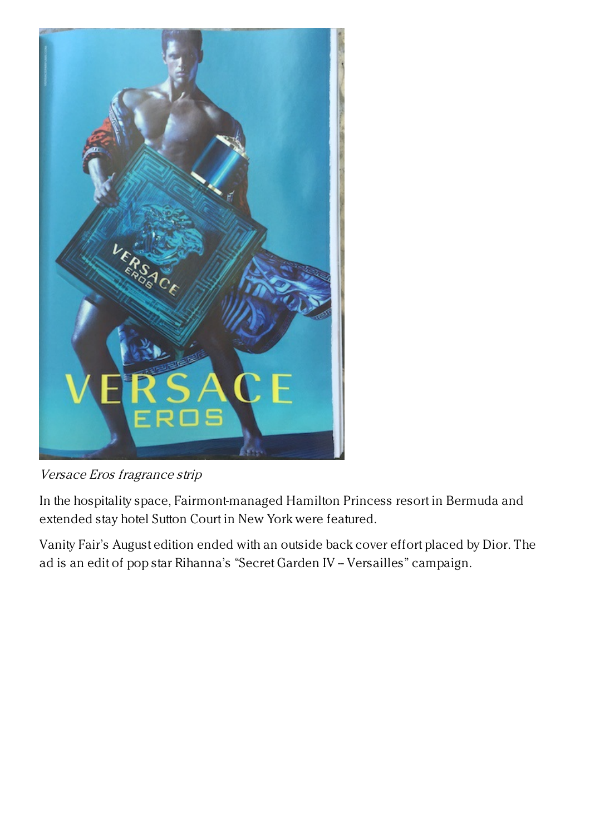

Versace Eros fragrance strip

In the hospitality space, Fairmont-managed Hamilton Princess resort in Bermuda and extended stay hotel Sutton Court in New York were featured.

Vanity Fair's August edition ended with an outside back cover effort placed by Dior. The ad is an edit of pop star Rihanna's "Secret Garden IV -- Versailles" campaign.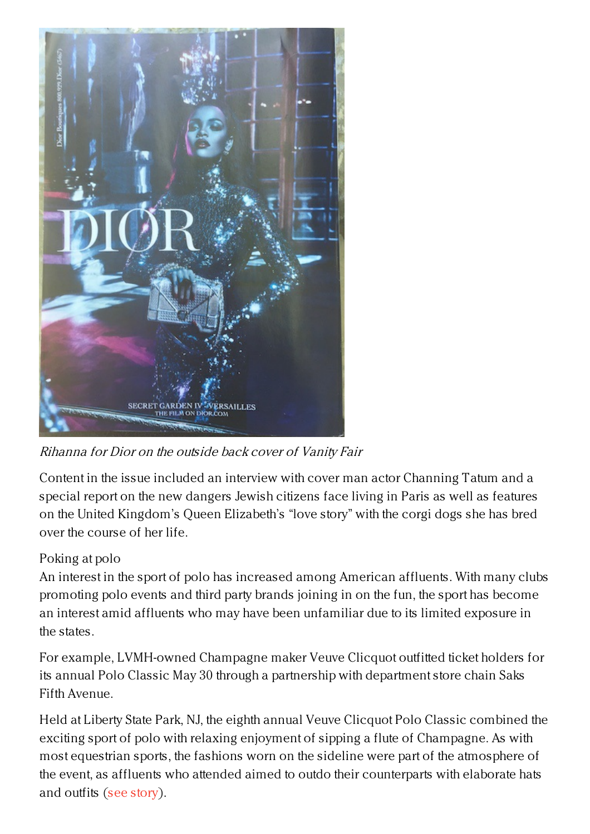

Rihanna for Dior on the outside back cover of Vanity Fair

Content in the issue included an interview with cover man actor Channing Tatum and a special report on the new dangers Jewish citizens face living in Paris as well as features on the United Kingdom's Queen Elizabeth's "love story" with the corgi dogs she has bred over the course of her life.

## Poking at polo

An interest in the sport of polo has increased among American affluents. With many clubs promoting polo events and third party brands joining in on the fun, the sport has become an interest amid affluents who may have been unfamiliar due to its limited exposure in the states.

For example, LVMH-owned Champagne maker Veuve Clicquot outfitted ticket holders for its annual Polo Classic May 30 through a partnership with department store chain Saks Fifth Avenue.

Held at Liberty State Park, NJ, the eighth annual Veuve Clicquot Polo Classic combined the exciting sport of polo with relaxing enjoyment of sipping a flute of Champagne. As with most equestrian sports, the fashions worn on the sideline were part of the atmosphere of the event, as affluents who attended aimed to outdo their counterparts with elaborate hats and outfits (see [story](https://www.luxurydaily.com/veuve-clicquot-gets-consumers-polo-ready-with-help-from-saks-fifth-avenue/)).